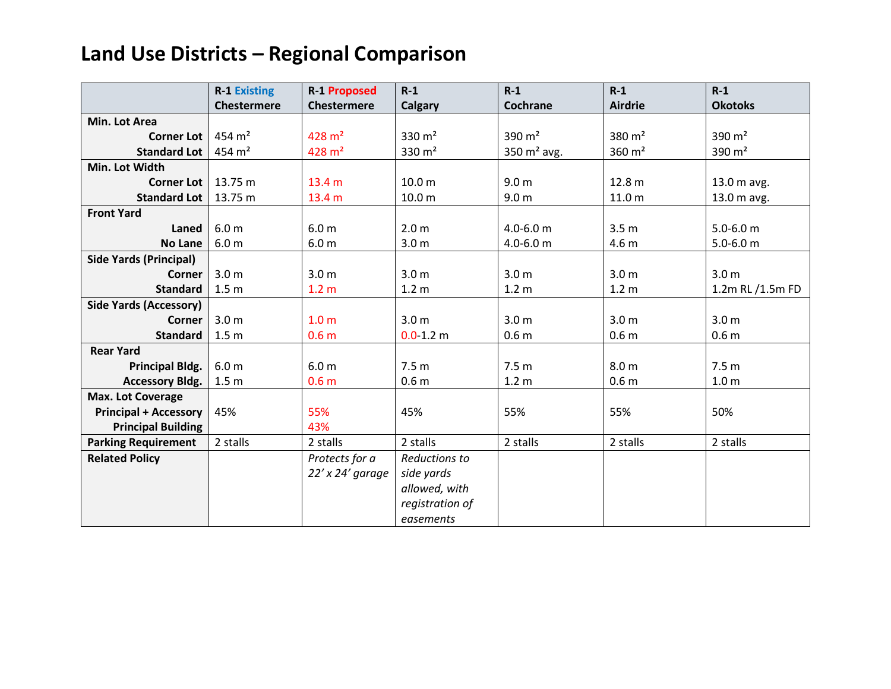|                               | <b>R-1 Existing</b> | <b>R-1 Proposed</b>  | $R-1$             | $R-1$            | $R-1$             | $R-1$            |
|-------------------------------|---------------------|----------------------|-------------------|------------------|-------------------|------------------|
|                               | Chestermere         | <b>Chestermere</b>   | <b>Calgary</b>    | Cochrane         | <b>Airdrie</b>    | <b>Okotoks</b>   |
| Min. Lot Area                 |                     |                      |                   |                  |                   |                  |
| <b>Corner Lot</b>             | $454 \text{ m}^2$   | $428 \text{ m}^2$    | 330 $m2$          | 390 $m2$         | 380 $m2$          | 390 $m2$         |
| <b>Standard Lot</b>           | $454 \text{ m}^2$   | $428 \text{ m}^2$    | 330 $m2$          | 350 $m2$ avg.    | $360 \text{ m}^2$ | 390 $m2$         |
| Min. Lot Width                |                     |                      |                   |                  |                   |                  |
| <b>Corner Lot</b>             | 13.75 m             | 13.4 <sub>m</sub>    | 10.0 <sub>m</sub> | 9.0 <sub>m</sub> | 12.8 m            | 13.0 m avg.      |
| <b>Standard Lot</b>           | 13.75 m             | 13.4 m               | 10.0 m            | 9.0 <sub>m</sub> | 11.0 <sub>m</sub> | 13.0 m avg.      |
| <b>Front Yard</b>             |                     |                      |                   |                  |                   |                  |
| Laned                         | 6.0 <sub>m</sub>    | 6.0 <sub>m</sub>     | 2.0 <sub>m</sub>  | $4.0 - 6.0$ m    | 3.5 <sub>m</sub>  | $5.0 - 6.0$ m    |
| <b>No Lane</b>                | 6.0 <sub>m</sub>    | 6.0 <sub>m</sub>     | 3.0 <sub>m</sub>  | $4.0 - 6.0$ m    | 4.6 m             | $5.0 - 6.0$ m    |
| <b>Side Yards (Principal)</b> |                     |                      |                   |                  |                   |                  |
| <b>Corner</b>                 | 3.0 <sub>m</sub>    | 3.0 <sub>m</sub>     | 3.0 <sub>m</sub>  | 3.0 <sub>m</sub> | 3.0 <sub>m</sub>  | 3.0 <sub>m</sub> |
| <b>Standard</b>               | 1.5 <sub>m</sub>    | 1.2 <sub>m</sub>     | 1.2 <sub>m</sub>  | 1.2 <sub>m</sub> | 1.2 <sub>m</sub>  | 1.2m RL /1.5m FD |
| <b>Side Yards (Accessory)</b> |                     |                      |                   |                  |                   |                  |
| Corner                        | 3.0 <sub>m</sub>    | 1.0 <sub>m</sub>     | 3.0 <sub>m</sub>  | 3.0 <sub>m</sub> | 3.0 <sub>m</sub>  | 3.0 <sub>m</sub> |
| <b>Standard</b>               | 1.5 <sub>m</sub>    | 0.6 <sub>m</sub>     | $0.0 - 1.2$ m     | 0.6 <sub>m</sub> | 0.6 <sub>m</sub>  | 0.6 <sub>m</sub> |
| <b>Rear Yard</b>              |                     |                      |                   |                  |                   |                  |
| <b>Principal Bldg.</b>        | 6.0 <sub>m</sub>    | 6.0 <sub>m</sub>     | 7.5 <sub>m</sub>  | 7.5 <sub>m</sub> | 8.0 <sub>m</sub>  | 7.5 <sub>m</sub> |
| <b>Accessory Bldg.</b>        | 1.5 <sub>m</sub>    | 0.6 <sub>m</sub>     | 0.6 <sub>m</sub>  | 1.2 <sub>m</sub> | 0.6 <sub>m</sub>  | 1.0 <sub>m</sub> |
| <b>Max. Lot Coverage</b>      |                     |                      |                   |                  |                   |                  |
| <b>Principal + Accessory</b>  | 45%                 | 55%                  | 45%               | 55%              | 55%               | 50%              |
| <b>Principal Building</b>     |                     | 43%                  |                   |                  |                   |                  |
| <b>Parking Requirement</b>    | 2 stalls            | 2 stalls             | 2 stalls          | 2 stalls         | 2 stalls          | 2 stalls         |
| <b>Related Policy</b>         |                     | Protects for a       | Reductions to     |                  |                   |                  |
|                               |                     | $22'$ x $24'$ garage | side yards        |                  |                   |                  |
|                               |                     |                      | allowed, with     |                  |                   |                  |
|                               |                     |                      | registration of   |                  |                   |                  |
|                               |                     |                      | easements         |                  |                   |                  |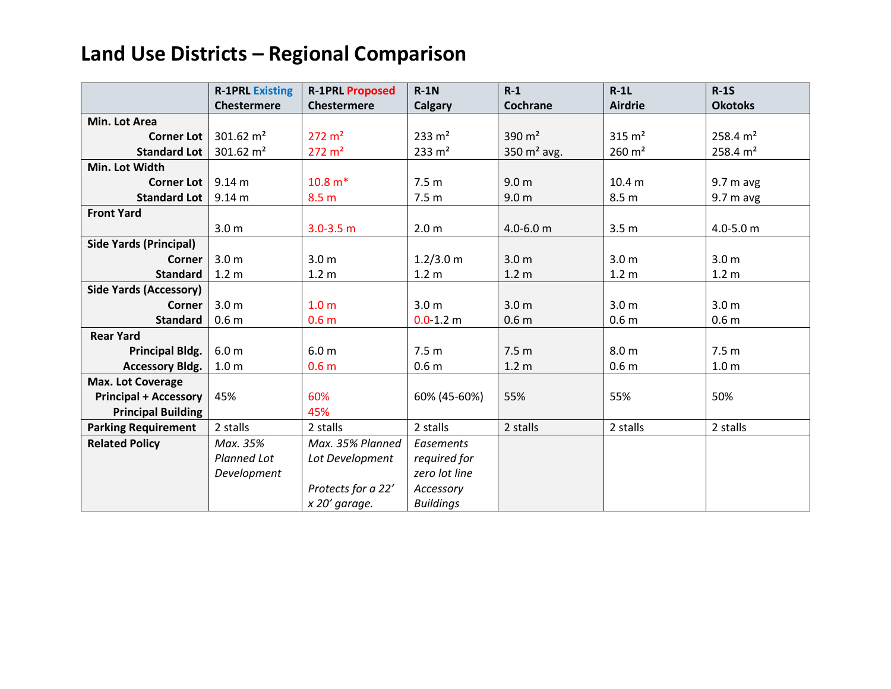|                               | <b>R-1PRL Existing</b> | <b>R-1PRL Proposed</b> | $R-1N$            | $R-1$            | $R-1L$            | $R-1S$              |
|-------------------------------|------------------------|------------------------|-------------------|------------------|-------------------|---------------------|
|                               | <b>Chestermere</b>     | <b>Chestermere</b>     | Calgary           | Cochrane         | <b>Airdrie</b>    | <b>Okotoks</b>      |
| Min. Lot Area                 |                        |                        |                   |                  |                   |                     |
| <b>Corner Lot</b>             | 301.62 $m2$            | $272 \text{ m}^2$      | $233 \text{ m}^2$ | 390 $m2$         | $315 \text{ m}^2$ | $258.4 \text{ m}^2$ |
| <b>Standard Lot</b>           | 301.62 $m2$            | $272 \text{ m}^2$      | $233 \text{ m}^2$ | 350 $m2$ avg.    | $260 \text{ m}^2$ | 258.4 $m2$          |
| Min. Lot Width                |                        |                        |                   |                  |                   |                     |
| <b>Corner Lot</b>             | 9.14 m                 | $10.8 m*$              | 7.5 <sub>m</sub>  | 9.0 <sub>m</sub> | 10.4 <sub>m</sub> | $9.7m$ avg          |
| <b>Standard Lot</b>           | 9.14 <sub>m</sub>      | 8.5 <sub>m</sub>       | 7.5 <sub>m</sub>  | 9.0 <sub>m</sub> | 8.5 <sub>m</sub>  | $9.7m$ avg          |
| <b>Front Yard</b>             |                        |                        |                   |                  |                   |                     |
|                               | 3.0 <sub>m</sub>       | $3.0 - 3.5$ m          | 2.0 <sub>m</sub>  | $4.0 - 6.0$ m    | 3.5 <sub>m</sub>  | $4.0 - 5.0$ m       |
| <b>Side Yards (Principal)</b> |                        |                        |                   |                  |                   |                     |
| <b>Corner</b>                 | 3.0 <sub>m</sub>       | 3.0 <sub>m</sub>       | 1.2/3.0 m         | 3.0 <sub>m</sub> | 3.0 <sub>m</sub>  | 3.0 <sub>m</sub>    |
| <b>Standard</b>               | 1.2 <sub>m</sub>       | 1.2 <sub>m</sub>       | 1.2 <sub>m</sub>  | 1.2 <sub>m</sub> | 1.2 <sub>m</sub>  | 1.2 <sub>m</sub>    |
| <b>Side Yards (Accessory)</b> |                        |                        |                   |                  |                   |                     |
| <b>Corner</b>                 | 3.0 <sub>m</sub>       | 1.0 <sub>m</sub>       | 3.0 <sub>m</sub>  | 3.0 <sub>m</sub> | 3.0 <sub>m</sub>  | 3.0 <sub>m</sub>    |
| <b>Standard</b>               | 0.6 <sub>m</sub>       | 0.6 <sub>m</sub>       | $0.0 - 1.2$ m     | 0.6 <sub>m</sub> | 0.6 <sub>m</sub>  | 0.6 <sub>m</sub>    |
| <b>Rear Yard</b>              |                        |                        |                   |                  |                   |                     |
| <b>Principal Bldg.</b>        | 6.0 <sub>m</sub>       | 6.0 <sub>m</sub>       | 7.5 <sub>m</sub>  | 7.5 <sub>m</sub> | 8.0 <sub>m</sub>  | 7.5 <sub>m</sub>    |
| <b>Accessory Bldg.</b>        | 1.0 <sub>m</sub>       | 0.6 <sub>m</sub>       | 0.6 <sub>m</sub>  | 1.2 <sub>m</sub> | 0.6 <sub>m</sub>  | 1.0 <sub>m</sub>    |
| <b>Max. Lot Coverage</b>      |                        |                        |                   |                  |                   |                     |
| <b>Principal + Accessory</b>  | 45%                    | 60%                    | 60% (45-60%)      | 55%              | 55%               | 50%                 |
| <b>Principal Building</b>     |                        | 45%                    |                   |                  |                   |                     |
| <b>Parking Requirement</b>    | 2 stalls               | 2 stalls               | 2 stalls          | 2 stalls         | 2 stalls          | 2 stalls            |
| <b>Related Policy</b>         | Max. 35%               | Max. 35% Planned       | Easements         |                  |                   |                     |
|                               | Planned Lot            | Lot Development        | required for      |                  |                   |                     |
|                               | Development            |                        | zero lot line     |                  |                   |                     |
|                               |                        | Protects for a 22'     | Accessory         |                  |                   |                     |
|                               |                        | x 20' garage.          | <b>Buildings</b>  |                  |                   |                     |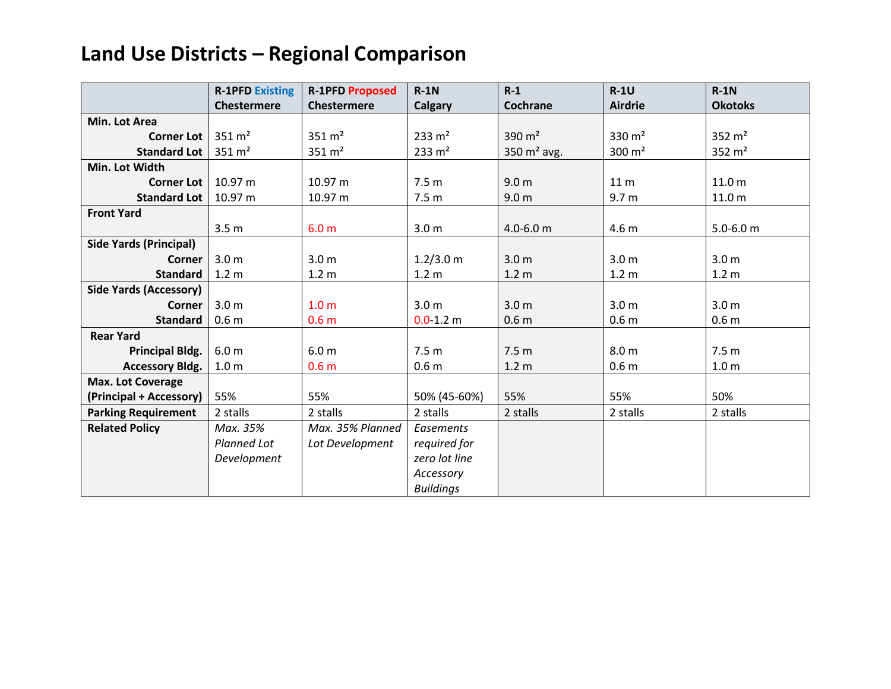|                               | <b>R-1PFD Existing</b> | <b>R-1PFD Proposed</b> | $R-1N$            | $R-1$            | $R-1U$            | $R-1N$            |
|-------------------------------|------------------------|------------------------|-------------------|------------------|-------------------|-------------------|
|                               | <b>Chestermere</b>     | <b>Chestermere</b>     | <b>Calgary</b>    | Cochrane         | <b>Airdrie</b>    | <b>Okotoks</b>    |
| Min. Lot Area                 |                        |                        |                   |                  |                   |                   |
| <b>Corner Lot</b>             | $351 \, \text{m}^2$    | $351 \, \text{m}^2$    | $233 \text{ m}^2$ | 390 $m2$         | 330 $m2$          | 352 $m2$          |
| <b>Standard Lot</b>           | $351 \, \text{m}^2$    | $351 \, \text{m}^2$    | $233 \text{ m}^2$ | 350 $m2$ avg.    | $300 \text{ m}^2$ | 352 $m2$          |
| Min. Lot Width                |                        |                        |                   |                  |                   |                   |
| <b>Corner Lot</b>             | 10.97 m                | 10.97 m                | 7.5 <sub>m</sub>  | 9.0 <sub>m</sub> | 11 <sub>m</sub>   | 11.0 <sub>m</sub> |
| <b>Standard Lot</b>           | 10.97 m                | 10.97 m                | 7.5 <sub>m</sub>  | 9.0 <sub>m</sub> | 9.7 <sub>m</sub>  | 11.0 <sub>m</sub> |
| <b>Front Yard</b>             |                        |                        |                   |                  |                   |                   |
|                               | 3.5 <sub>m</sub>       | 6.0 <sub>m</sub>       | 3.0 <sub>m</sub>  | $4.0 - 6.0$ m    | 4.6 <sub>m</sub>  | $5.0 - 6.0$ m     |
| <b>Side Yards (Principal)</b> |                        |                        |                   |                  |                   |                   |
| <b>Corner</b>                 | 3.0 <sub>m</sub>       | 3.0 <sub>m</sub>       | 1.2/3.0 m         | 3.0 <sub>m</sub> | 3.0 <sub>m</sub>  | 3.0 <sub>m</sub>  |
| <b>Standard</b>               | 1.2 <sub>m</sub>       | 1.2 <sub>m</sub>       | 1.2 <sub>m</sub>  | 1.2 <sub>m</sub> | 1.2 <sub>m</sub>  | 1.2 <sub>m</sub>  |
| <b>Side Yards (Accessory)</b> |                        |                        |                   |                  |                   |                   |
| Corner                        | 3.0 <sub>m</sub>       | 1.0 <sub>m</sub>       | 3.0 <sub>m</sub>  | 3.0 <sub>m</sub> | 3.0 <sub>m</sub>  | 3.0 <sub>m</sub>  |
| <b>Standard</b>               | 0.6 <sub>m</sub>       | 0.6 <sub>m</sub>       | $0.0 - 1.2$ m     | 0.6 <sub>m</sub> | 0.6 <sub>m</sub>  | 0.6 <sub>m</sub>  |
| <b>Rear Yard</b>              |                        |                        |                   |                  |                   |                   |
| <b>Principal Bldg.</b>        | 6.0 <sub>m</sub>       | 6.0 <sub>m</sub>       | 7.5 <sub>m</sub>  | 7.5 <sub>m</sub> | 8.0 <sub>m</sub>  | 7.5 <sub>m</sub>  |
| <b>Accessory Bldg.</b>        | 1.0 <sub>m</sub>       | 0.6 <sub>m</sub>       | 0.6 <sub>m</sub>  | 1.2 <sub>m</sub> | 0.6 <sub>m</sub>  | 1.0 <sub>m</sub>  |
| Max. Lot Coverage             |                        |                        |                   |                  |                   |                   |
| (Principal + Accessory)       | 55%                    | 55%                    | 50% (45-60%)      | 55%              | 55%               | 50%               |
| <b>Parking Requirement</b>    | 2 stalls               | 2 stalls               | 2 stalls          | 2 stalls         | 2 stalls          | 2 stalls          |
| <b>Related Policy</b>         | Max. 35%               | Max. 35% Planned       | Easements         |                  |                   |                   |
|                               | Planned Lot            | Lot Development        | required for      |                  |                   |                   |
|                               | Development            |                        | zero lot line     |                  |                   |                   |
|                               |                        |                        | Accessory         |                  |                   |                   |
|                               |                        |                        | <b>Buildings</b>  |                  |                   |                   |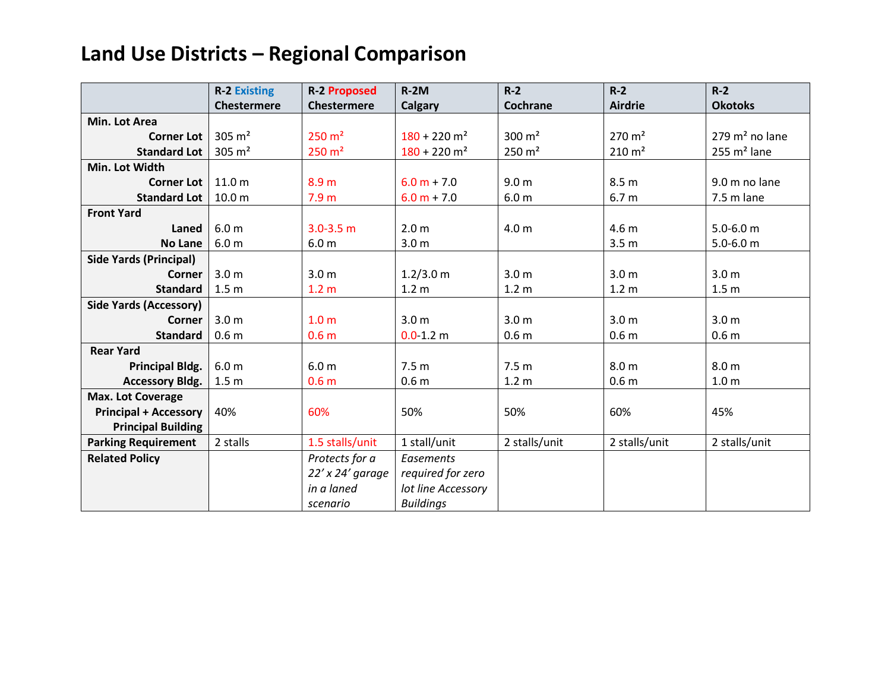|                               | <b>R-2 Existing</b> | <b>R-2 Proposed</b>  | $R-2M$                     | $R-2$               | $R-2$               | $R-2$                     |
|-------------------------------|---------------------|----------------------|----------------------------|---------------------|---------------------|---------------------------|
|                               | <b>Chestermere</b>  | <b>Chestermere</b>   | Calgary                    | Cochrane            | <b>Airdrie</b>      | <b>Okotoks</b>            |
| Min. Lot Area                 |                     |                      |                            |                     |                     |                           |
| <b>Corner Lot</b>             | 305 $m2$            | $250 \text{ m}^2$    | $180 + 220$ m <sup>2</sup> | $300 \, \text{m}^2$ | $270 \text{ m}^2$   | $279 \text{ m}^2$ no lane |
| <b>Standard Lot</b>           | 305 $m2$            | $250 \, \text{m}^2$  | $180 + 220$ m <sup>2</sup> | $250 \, \text{m}^2$ | $210 \, \text{m}^2$ | $255 \text{ m}^2$ lane    |
| Min. Lot Width                |                     |                      |                            |                     |                     |                           |
| <b>Corner Lot</b>             | 11.0 m              | 8.9 <sub>m</sub>     | $6.0 m + 7.0$              | 9.0 <sub>m</sub>    | 8.5 <sub>m</sub>    | 9.0 m no lane             |
| <b>Standard Lot</b>           | 10.0 <sub>m</sub>   | 7.9 <sub>m</sub>     | $6.0 m + 7.0$              | 6.0 <sub>m</sub>    | 6.7 <sub>m</sub>    | 7.5 m lane                |
| <b>Front Yard</b>             |                     |                      |                            |                     |                     |                           |
| Laned                         | 6.0 <sub>m</sub>    | $3.0 - 3.5$ m        | 2.0 <sub>m</sub>           | 4.0 <sub>m</sub>    | 4.6 <sub>m</sub>    | $5.0 - 6.0$ m             |
| <b>No Lane</b>                | 6.0 <sub>m</sub>    | 6.0 <sub>m</sub>     | 3.0 <sub>m</sub>           |                     | 3.5 <sub>m</sub>    | $5.0 - 6.0$ m             |
| <b>Side Yards (Principal)</b> |                     |                      |                            |                     |                     |                           |
| <b>Corner</b>                 | 3.0 <sub>m</sub>    | 3.0 <sub>m</sub>     | 1.2/3.0 m                  | 3.0 <sub>m</sub>    | 3.0 <sub>m</sub>    | 3.0 <sub>m</sub>          |
| <b>Standard</b>               | 1.5 <sub>m</sub>    | 1.2 <sub>m</sub>     | 1.2 <sub>m</sub>           | 1.2 <sub>m</sub>    | 1.2 <sub>m</sub>    | 1.5 <sub>m</sub>          |
| <b>Side Yards (Accessory)</b> |                     |                      |                            |                     |                     |                           |
| Corner                        | 3.0 <sub>m</sub>    | 1.0 <sub>m</sub>     | 3.0 <sub>m</sub>           | 3.0 <sub>m</sub>    | 3.0 <sub>m</sub>    | 3.0 <sub>m</sub>          |
| <b>Standard</b>               | 0.6 <sub>m</sub>    | 0.6 <sub>m</sub>     | $0.0 - 1.2$ m              | 0.6 <sub>m</sub>    | 0.6 <sub>m</sub>    | 0.6 <sub>m</sub>          |
| <b>Rear Yard</b>              |                     |                      |                            |                     |                     |                           |
| <b>Principal Bldg.</b>        | 6.0 <sub>m</sub>    | 6.0 <sub>m</sub>     | 7.5 <sub>m</sub>           | 7.5 <sub>m</sub>    | 8.0 <sub>m</sub>    | 8.0 <sub>m</sub>          |
| <b>Accessory Bldg.</b>        | 1.5 <sub>m</sub>    | 0.6 <sub>m</sub>     | 0.6 <sub>m</sub>           | 1.2 <sub>m</sub>    | 0.6 <sub>m</sub>    | 1.0 <sub>m</sub>          |
| Max. Lot Coverage             |                     |                      |                            |                     |                     |                           |
| <b>Principal + Accessory</b>  | 40%                 | 60%                  | 50%                        | 50%                 | 60%                 | 45%                       |
| <b>Principal Building</b>     |                     |                      |                            |                     |                     |                           |
| <b>Parking Requirement</b>    | 2 stalls            | 1.5 stalls/unit      | 1 stall/unit               | 2 stalls/unit       | 2 stalls/unit       | 2 stalls/unit             |
| <b>Related Policy</b>         |                     | Protects for a       | <b>Easements</b>           |                     |                     |                           |
|                               |                     | $22'$ x $24'$ garage | required for zero          |                     |                     |                           |
|                               |                     | in a laned           | lot line Accessory         |                     |                     |                           |
|                               |                     | scenario             | <b>Buildings</b>           |                     |                     |                           |